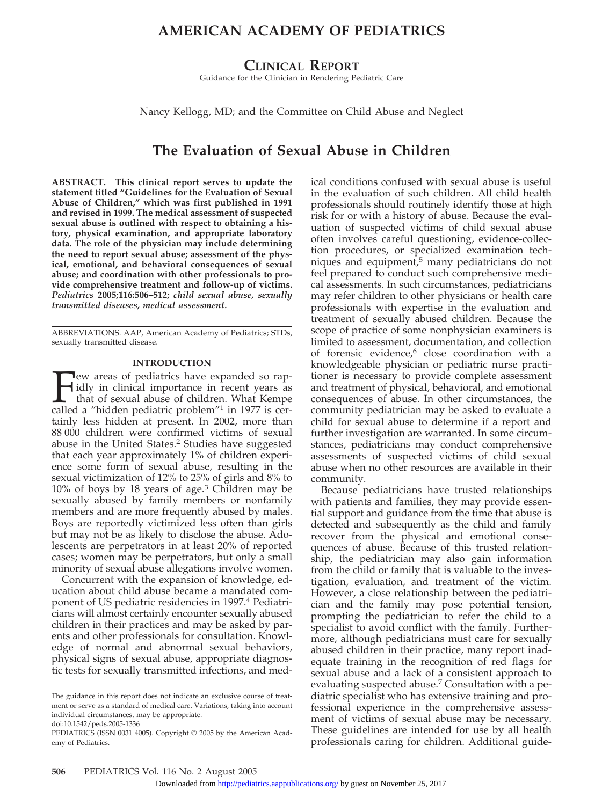# **AMERICAN ACADEMY OF PEDIATRICS**

## **CLINICAL REPORT**

Guidance for the Clinician in Rendering Pediatric Care

Nancy Kellogg, MD; and the Committee on Child Abuse and Neglect

# **The Evaluation of Sexual Abuse in Children**

**ABSTRACT. This clinical report serves to update the statement titled "Guidelines for the Evaluation of Sexual Abuse of Children," which was first published in 1991 and revised in 1999. The medical assessment of suspected sexual abuse is outlined with respect to obtaining a history, physical examination, and appropriate laboratory data. The role of the physician may include determining the need to report sexual abuse; assessment of the physical, emotional, and behavioral consequences of sexual abuse; and coordination with other professionals to provide comprehensive treatment and follow-up of victims.** *Pediatrics* **2005;116:506–512;** *child sexual abuse, sexually transmitted diseases, medical assessment.*

ABBREVIATIONS. AAP, American Academy of Pediatrics; STDs, sexually transmitted disease.

#### **INTRODUCTION**

Few areas of pediatrics have expanded so rapidly in clinical importance in recent years as that of sexual abuse of children. What Kempe called a "hidden pediatric problem"1 in 1977 is certainly less hidden at present. In 2002, more than 88 000 children were confirmed victims of sexual abuse in the United States.<sup>2</sup> Studies have suggested that each year approximately 1% of children experience some form of sexual abuse, resulting in the sexual victimization of 12% to 25% of girls and 8% to 10% of boys by 18 years of age.3 Children may be sexually abused by family members or nonfamily members and are more frequently abused by males. Boys are reportedly victimized less often than girls but may not be as likely to disclose the abuse. Adolescents are perpetrators in at least 20% of reported cases; women may be perpetrators, but only a small minority of sexual abuse allegations involve women.

Concurrent with the expansion of knowledge, education about child abuse became a mandated component of US pediatric residencies in 1997.4 Pediatricians will almost certainly encounter sexually abused children in their practices and may be asked by parents and other professionals for consultation. Knowledge of normal and abnormal sexual behaviors, physical signs of sexual abuse, appropriate diagnostic tests for sexually transmitted infections, and med-

doi:10.1542/peds.2005-1336

ical conditions confused with sexual abuse is useful in the evaluation of such children. All child health professionals should routinely identify those at high risk for or with a history of abuse. Because the evaluation of suspected victims of child sexual abuse often involves careful questioning, evidence-collection procedures, or specialized examination techniques and equipment, $5$  many pediatricians do not feel prepared to conduct such comprehensive medical assessments. In such circumstances, pediatricians may refer children to other physicians or health care professionals with expertise in the evaluation and treatment of sexually abused children. Because the scope of practice of some nonphysician examiners is limited to assessment, documentation, and collection of forensic evidence,<sup>6</sup> close coordination with a knowledgeable physician or pediatric nurse practitioner is necessary to provide complete assessment and treatment of physical, behavioral, and emotional consequences of abuse. In other circumstances, the community pediatrician may be asked to evaluate a child for sexual abuse to determine if a report and further investigation are warranted. In some circumstances, pediatricians may conduct comprehensive assessments of suspected victims of child sexual abuse when no other resources are available in their community.

Because pediatricians have trusted relationships with patients and families, they may provide essential support and guidance from the time that abuse is detected and subsequently as the child and family recover from the physical and emotional consequences of abuse. Because of this trusted relationship, the pediatrician may also gain information from the child or family that is valuable to the investigation, evaluation, and treatment of the victim. However, a close relationship between the pediatrician and the family may pose potential tension, prompting the pediatrician to refer the child to a specialist to avoid conflict with the family. Furthermore, although pediatricians must care for sexually abused children in their practice, many report inadequate training in the recognition of red flags for sexual abuse and a lack of a consistent approach to evaluating suspected abuse.7 Consultation with a pediatric specialist who has extensive training and professional experience in the comprehensive assessment of victims of sexual abuse may be necessary. These guidelines are intended for use by all health professionals caring for children. Additional guide-

The guidance in this report does not indicate an exclusive course of treatment or serve as a standard of medical care. Variations, taking into account individual circumstances, may be appropriate.

PEDIATRICS (ISSN 0031 4005). Copyright © 2005 by the American Academy of Pediatrics.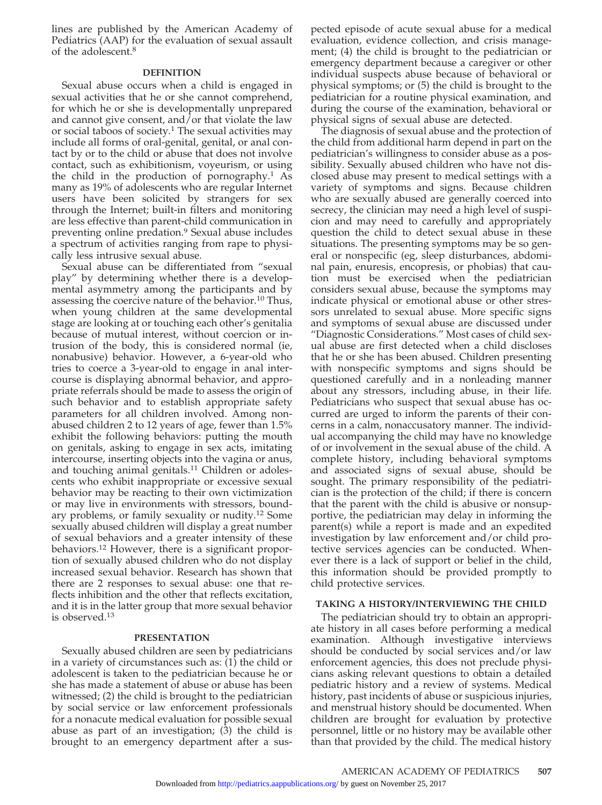lines are published by the American Academy of Pediatrics (AAP) for the evaluation of sexual assault of the adolescent.8

#### **DEFINITION**

Sexual abuse occurs when a child is engaged in sexual activities that he or she cannot comprehend, for which he or she is developmentally unprepared and cannot give consent, and/or that violate the law or social taboos of society.<sup>1</sup> The sexual activities may include all forms of oral-genital, genital, or anal contact by or to the child or abuse that does not involve contact, such as exhibitionism, voyeurism, or using the child in the production of pornography.<sup>1</sup> As many as 19% of adolescents who are regular Internet users have been solicited by strangers for sex through the Internet; built-in filters and monitoring are less effective than parent-child communication in preventing online predation.9 Sexual abuse includes a spectrum of activities ranging from rape to physically less intrusive sexual abuse.

Sexual abuse can be differentiated from "sexual play" by determining whether there is a developmental asymmetry among the participants and by assessing the coercive nature of the behavior.<sup>10</sup> Thus, when young children at the same developmental stage are looking at or touching each other's genitalia because of mutual interest, without coercion or intrusion of the body, this is considered normal (ie, nonabusive) behavior. However, a 6-year-old who tries to coerce a 3-year-old to engage in anal intercourse is displaying abnormal behavior, and appropriate referrals should be made to assess the origin of such behavior and to establish appropriate safety parameters for all children involved. Among nonabused children 2 to 12 years of age, fewer than 1.5% exhibit the following behaviors: putting the mouth on genitals, asking to engage in sex acts, imitating intercourse, inserting objects into the vagina or anus, and touching animal genitals.<sup>11</sup> Children or adolescents who exhibit inappropriate or excessive sexual behavior may be reacting to their own victimization or may live in environments with stressors, boundary problems, or family sexuality or nudity.12 Some sexually abused children will display a great number of sexual behaviors and a greater intensity of these behaviors.12 However, there is a significant proportion of sexually abused children who do not display increased sexual behavior. Research has shown that there are 2 responses to sexual abuse: one that reflects inhibition and the other that reflects excitation, and it is in the latter group that more sexual behavior is observed.13

#### **PRESENTATION**

Sexually abused children are seen by pediatricians in a variety of circumstances such as: (1) the child or adolescent is taken to the pediatrician because he or she has made a statement of abuse or abuse has been witnessed; (2) the child is brought to the pediatrician by social service or law enforcement professionals for a nonacute medical evaluation for possible sexual abuse as part of an investigation; (3) the child is brought to an emergency department after a suspected episode of acute sexual abuse for a medical evaluation, evidence collection, and crisis management; (4) the child is brought to the pediatrician or emergency department because a caregiver or other individual suspects abuse because of behavioral or physical symptoms; or (5) the child is brought to the pediatrician for a routine physical examination, and during the course of the examination, behavioral or physical signs of sexual abuse are detected.

The diagnosis of sexual abuse and the protection of the child from additional harm depend in part on the pediatrician's willingness to consider abuse as a possibility. Sexually abused children who have not disclosed abuse may present to medical settings with a variety of symptoms and signs. Because children who are sexually abused are generally coerced into secrecy, the clinician may need a high level of suspicion and may need to carefully and appropriately question the child to detect sexual abuse in these situations. The presenting symptoms may be so general or nonspecific (eg, sleep disturbances, abdominal pain, enuresis, encopresis, or phobias) that caution must be exercised when the pediatrician considers sexual abuse, because the symptoms may indicate physical or emotional abuse or other stressors unrelated to sexual abuse. More specific signs and symptoms of sexual abuse are discussed under "Diagnostic Considerations." Most cases of child sexual abuse are first detected when a child discloses that he or she has been abused. Children presenting with nonspecific symptoms and signs should be questioned carefully and in a nonleading manner about any stressors, including abuse, in their life. Pediatricians who suspect that sexual abuse has occurred are urged to inform the parents of their concerns in a calm, nonaccusatory manner. The individual accompanying the child may have no knowledge of or involvement in the sexual abuse of the child. A complete history, including behavioral symptoms and associated signs of sexual abuse, should be sought. The primary responsibility of the pediatrician is the protection of the child; if there is concern that the parent with the child is abusive or nonsupportive, the pediatrician may delay in informing the parent(s) while a report is made and an expedited investigation by law enforcement and/or child protective services agencies can be conducted. Whenever there is a lack of support or belief in the child, this information should be provided promptly to child protective services.

#### **TAKING A HISTORY/INTERVIEWING THE CHILD**

The pediatrician should try to obtain an appropriate history in all cases before performing a medical examination. Although investigative interviews should be conducted by social services and/or law enforcement agencies, this does not preclude physicians asking relevant questions to obtain a detailed pediatric history and a review of systems. Medical history, past incidents of abuse or suspicious injuries, and menstrual history should be documented. When children are brought for evaluation by protective personnel, little or no history may be available other than that provided by the child. The medical history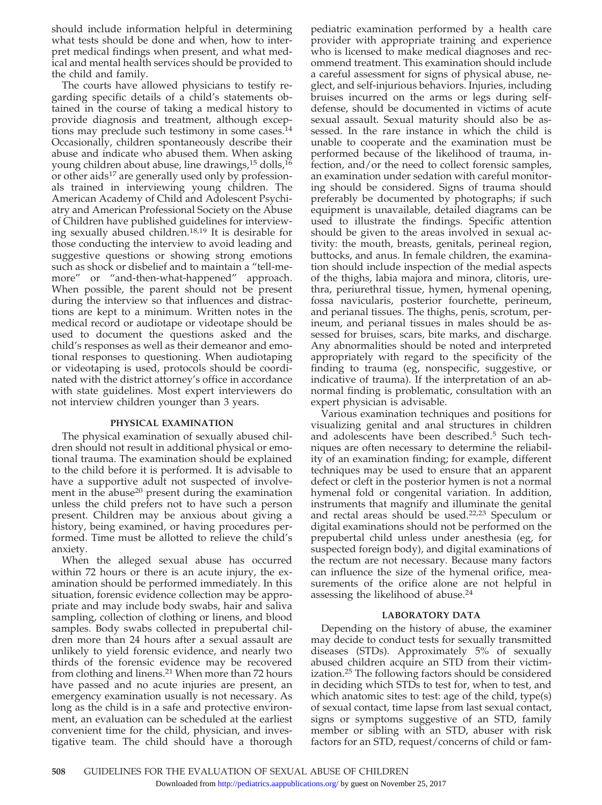should include information helpful in determining what tests should be done and when, how to interpret medical findings when present, and what medical and mental health services should be provided to the child and family.

The courts have allowed physicians to testify regarding specific details of a child's statements obtained in the course of taking a medical history to provide diagnosis and treatment, although exceptions may preclude such testimony in some cases.<sup>14</sup> Occasionally, children spontaneously describe their abuse and indicate who abused them. When asking young children about abuse, line drawings,<sup>15</sup> dolls,<sup>16</sup> or other aids<sup>17</sup> are generally used only by professionals trained in interviewing young children. The American Academy of Child and Adolescent Psychiatry and American Professional Society on the Abuse of Children have published guidelines for interviewing sexually abused children.18,19 It is desirable for those conducting the interview to avoid leading and suggestive questions or showing strong emotions such as shock or disbelief and to maintain a "tell-memore" or "and-then-what-happened" approach. When possible, the parent should not be present during the interview so that influences and distractions are kept to a minimum. Written notes in the medical record or audiotape or videotape should be used to document the questions asked and the child's responses as well as their demeanor and emotional responses to questioning. When audiotaping or videotaping is used, protocols should be coordinated with the district attorney's office in accordance with state guidelines. Most expert interviewers do not interview children younger than 3 years.

#### **PHYSICAL EXAMINATION**

The physical examination of sexually abused children should not result in additional physical or emotional trauma. The examination should be explained to the child before it is performed. It is advisable to have a supportive adult not suspected of involvement in the abuse<sup>20</sup> present during the examination unless the child prefers not to have such a person present. Children may be anxious about giving a history, being examined, or having procedures performed. Time must be allotted to relieve the child's anxiety.

When the alleged sexual abuse has occurred within 72 hours or there is an acute injury, the examination should be performed immediately. In this situation, forensic evidence collection may be appropriate and may include body swabs, hair and saliva sampling, collection of clothing or linens, and blood samples. Body swabs collected in prepubertal children more than 24 hours after a sexual assault are unlikely to yield forensic evidence, and nearly two thirds of the forensic evidence may be recovered from clothing and linens.<sup>21</sup> When more than 72 hours have passed and no acute injuries are present, an emergency examination usually is not necessary. As long as the child is in a safe and protective environment, an evaluation can be scheduled at the earliest convenient time for the child, physician, and investigative team. The child should have a thorough

pediatric examination performed by a health care provider with appropriate training and experience who is licensed to make medical diagnoses and recommend treatment. This examination should include a careful assessment for signs of physical abuse, neglect, and self-injurious behaviors. Injuries, including bruises incurred on the arms or legs during selfdefense, should be documented in victims of acute sexual assault. Sexual maturity should also be assessed. In the rare instance in which the child is unable to cooperate and the examination must be performed because of the likelihood of trauma, infection, and/or the need to collect forensic samples, an examination under sedation with careful monitoring should be considered. Signs of trauma should preferably be documented by photographs; if such equipment is unavailable, detailed diagrams can be used to illustrate the findings. Specific attention should be given to the areas involved in sexual activity: the mouth, breasts, genitals, perineal region, buttocks, and anus. In female children, the examination should include inspection of the medial aspects of the thighs, labia majora and minora, clitoris, urethra, periurethral tissue, hymen, hymenal opening, fossa navicularis, posterior fourchette, perineum, and perianal tissues. The thighs, penis, scrotum, perineum, and perianal tissues in males should be assessed for bruises, scars, bite marks, and discharge. Any abnormalities should be noted and interpreted appropriately with regard to the specificity of the finding to trauma (eg, nonspecific, suggestive, or indicative of trauma). If the interpretation of an abnormal finding is problematic, consultation with an expert physician is advisable.

Various examination techniques and positions for visualizing genital and anal structures in children and adolescents have been described.5 Such techniques are often necessary to determine the reliability of an examination finding; for example, different techniques may be used to ensure that an apparent defect or cleft in the posterior hymen is not a normal hymenal fold or congenital variation. In addition, instruments that magnify and illuminate the genital and rectal areas should be used.22,23 Speculum or digital examinations should not be performed on the prepubertal child unless under anesthesia (eg, for suspected foreign body), and digital examinations of the rectum are not necessary. Because many factors can influence the size of the hymenal orifice, measurements of the orifice alone are not helpful in assessing the likelihood of abuse.<sup>24</sup>

#### **LABORATORY DATA**

Depending on the history of abuse, the examiner may decide to conduct tests for sexually transmitted diseases (STDs). Approximately 5% of sexually abused children acquire an STD from their victimization.<sup>25</sup> The following factors should be considered in deciding which STDs to test for, when to test, and which anatomic sites to test: age of the child, type(s) of sexual contact, time lapse from last sexual contact, signs or symptoms suggestive of an STD, family member or sibling with an STD, abuser with risk factors for an STD, request/concerns of child or fam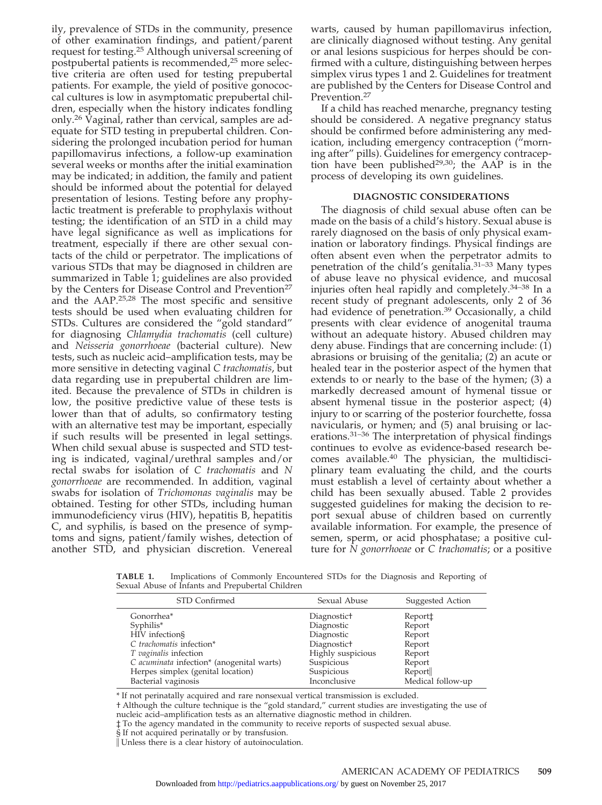ily, prevalence of STDs in the community, presence of other examination findings, and patient/parent request for testing.25 Although universal screening of postpubertal patients is recommended,<sup>25</sup> more selective criteria are often used for testing prepubertal patients. For example, the yield of positive gonococcal cultures is low in asymptomatic prepubertal children, especially when the history indicates fondling only.26 Vaginal, rather than cervical, samples are adequate for STD testing in prepubertal children. Considering the prolonged incubation period for human papillomavirus infections, a follow-up examination several weeks or months after the initial examination may be indicated; in addition, the family and patient should be informed about the potential for delayed presentation of lesions. Testing before any prophylactic treatment is preferable to prophylaxis without testing; the identification of an STD in a child may have legal significance as well as implications for treatment, especially if there are other sexual contacts of the child or perpetrator. The implications of various STDs that may be diagnosed in children are summarized in Table 1; guidelines are also provided by the Centers for Disease Control and Prevention<sup>27</sup> and the AAP.25,28 The most specific and sensitive tests should be used when evaluating children for STDs. Cultures are considered the "gold standard" for diagnosing *Chlamydia trachomatis* (cell culture) and *Neisseria gonorrhoeae* (bacterial culture). New tests, such as nucleic acid–amplification tests, may be more sensitive in detecting vaginal *C trachomatis*, but data regarding use in prepubertal children are limited. Because the prevalence of STDs in children is low, the positive predictive value of these tests is lower than that of adults, so confirmatory testing with an alternative test may be important, especially if such results will be presented in legal settings. When child sexual abuse is suspected and STD testing is indicated, vaginal/urethral samples and/or rectal swabs for isolation of *C trachomatis* and *N gonorrhoeae* are recommended. In addition, vaginal swabs for isolation of *Trichomonas vaginalis* may be obtained. Testing for other STDs, including human immunodeficiency virus (HIV), hepatitis B, hepatitis C, and syphilis, is based on the presence of symptoms and signs, patient/family wishes, detection of another STD, and physician discretion. Venereal

warts, caused by human papillomavirus infection, are clinically diagnosed without testing. Any genital or anal lesions suspicious for herpes should be confirmed with a culture, distinguishing between herpes simplex virus types 1 and 2. Guidelines for treatment are published by the Centers for Disease Control and Prevention.<sup>27</sup>

If a child has reached menarche, pregnancy testing should be considered. A negative pregnancy status should be confirmed before administering any medication, including emergency contraception ("morning after" pills). Guidelines for emergency contraception have been published<sup>29,30</sup>; the  $AAP$  is in the process of developing its own guidelines.

#### **DIAGNOSTIC CONSIDERATIONS**

The diagnosis of child sexual abuse often can be made on the basis of a child's history. Sexual abuse is rarely diagnosed on the basis of only physical examination or laboratory findings. Physical findings are often absent even when the perpetrator admits to penetration of the child's genitalia.<sup>31-33</sup> Many types of abuse leave no physical evidence, and mucosal injuries often heal rapidly and completely.34–38 In a recent study of pregnant adolescents, only 2 of 36 had evidence of penetration.<sup>39</sup> Occasionally, a child presents with clear evidence of anogenital trauma without an adequate history. Abused children may deny abuse. Findings that are concerning include: (1) abrasions or bruising of the genitalia; (2) an acute or healed tear in the posterior aspect of the hymen that extends to or nearly to the base of the hymen; (3) a markedly decreased amount of hymenal tissue or absent hymenal tissue in the posterior aspect; (4) injury to or scarring of the posterior fourchette, fossa navicularis, or hymen; and (5) anal bruising or lacerations.31–36 The interpretation of physical findings continues to evolve as evidence-based research becomes available.<sup>40</sup> The physician, the multidisciplinary team evaluating the child, and the courts must establish a level of certainty about whether a child has been sexually abused. Table 2 provides suggested guidelines for making the decision to report sexual abuse of children based on currently available information. For example, the presence of semen, sperm, or acid phosphatase; a positive culture for *N gonorrhoeae* or *C trachomatis*; or a positive

**TABLE 1.** Implications of Commonly Encountered STDs for the Diagnosis and Reporting of Sexual Abuse of Infants and Prepubertal Children

| STD Confirmed                             | Sexual Abuse            | Suggested Action    |
|-------------------------------------------|-------------------------|---------------------|
| Gonorrhea*                                | Diagnostic <sup>+</sup> | Report <sup>1</sup> |
| Syphilis*                                 | Diagnostic              | Report              |
| HIV infection§                            | Diagnostic              | Report              |
| C trachomatis infection*                  | Diagnostic <sup>+</sup> | Report              |
| T vaginalis infection                     | Highly suspicious       | Report              |
| C acuminata infection* (anogenital warts) | Suspicious              | Report              |
| Herpes simplex (genital location)         | Suspicious              | Report              |
| Bacterial vaginosis                       | Inconclusive            | Medical follow-up   |

\* If not perinatally acquired and rare nonsexual vertical transmission is excluded.

† Although the culture technique is the "gold standard," current studies are investigating the use of nucleic acid–amplification tests as an alternative diagnostic method in children.

‡ To the agency mandated in the community to receive reports of suspected sexual abuse.

§ If not acquired perinatally or by transfusion.

Unless there is a clear history of autoinoculation.

Downloaded from<http://pediatrics.aappublications.org/>by guest on November 25, 2017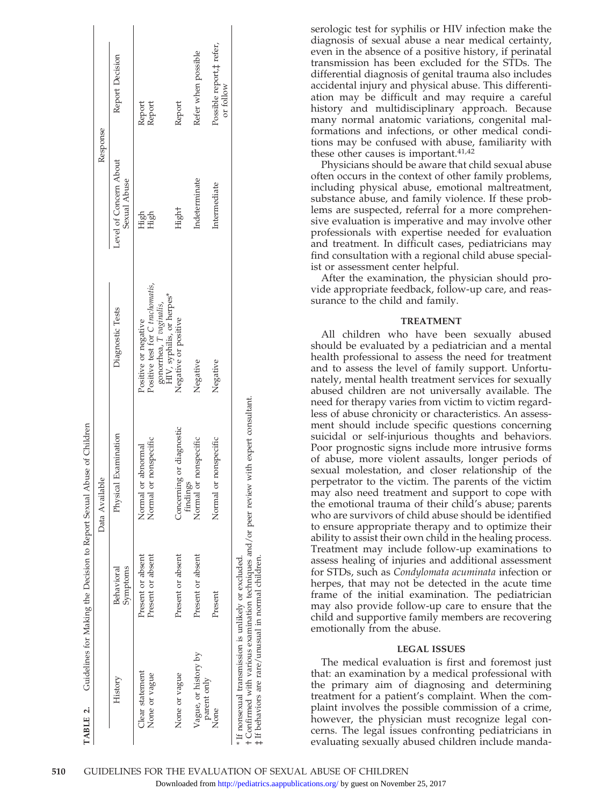| Concerning or diagnostic<br>L <b>Examination</b><br>Normal or nonspecific<br>Normal or abnormal<br>Physical<br>Present or absent<br>Present or absent<br>Present or absent<br>Symptoms<br>Behavioral<br>Clear statement<br>None or vague<br>None or vague<br>History | Diagnostic Tests                                         | Level of Concern About | Response                              |
|----------------------------------------------------------------------------------------------------------------------------------------------------------------------------------------------------------------------------------------------------------------------|----------------------------------------------------------|------------------------|---------------------------------------|
|                                                                                                                                                                                                                                                                      |                                                          | Sexual Abuse           | Report Decision                       |
|                                                                                                                                                                                                                                                                      | Positive test for C trachomatis,<br>Positive or negative | High<br>High           | Report<br>Report                      |
|                                                                                                                                                                                                                                                                      | gonorrhea, T vaginalis,<br>HIV, syphilis, or herpes*     |                        |                                       |
| findings                                                                                                                                                                                                                                                             | Negative or positive                                     | High <sup>+</sup>      | Report                                |
| Normal or nonspecific<br>Present or absent<br>Vague, or history by<br>parent only                                                                                                                                                                                    | Negative                                                 | Indeterminate          | Refer when possible                   |
| Normal or nonspecific<br>Present<br>None                                                                                                                                                                                                                             | Negative                                                 | Intermediate           | Possible report,# refer,<br>or follow |

serologic test for syphilis or HIV infection make the diagnosis of sexual abuse a near medical certainty, even in the absence of a positive history, if perinatal transmission has been excluded for the STDs. The differential diagnosis of genital trauma also includes accidental injury and physical abuse. This differentiation may be difficult and may require a careful history and multidisciplinary approach. Because many normal anatomic variations, congenital malformations and infections, or other medical conditions may be confused with abuse, familiarity with these other causes is important.<sup>41,42</sup>

Physicians should be aware that child sexual abuse often occurs in the context of other family problems, including physical abuse, emotional maltreatment, substance abuse, and family violence. If these problems are suspected, referral for a more comprehensive evaluation is imperative and may involve other professionals with expertise needed for evaluation and treatment. In difficult cases, pediatricians may find consultation with a regional child abuse specialist or assessment center helpful.

After the examination, the physician should provide appropriate feedback, follow-up care, and reassurance to the child and family.

#### **TREATMENT**

All children who have been sexually abused should be evaluated by a pediatrician and a mental health professional to assess the need for treatment and to assess the level of family support. Unfortunately, mental health treatment services for sexually abused children are not universally available. The need for therapy varies from victim to victim regardless of abuse chronicity or characteristics. An assessment should include specific questions concerning suicidal or self-injurious thoughts and behaviors. Poor prognostic signs include more intrusive forms of abuse, more violent assaults, longer periods of sexual molestation, and closer relationship of the perpetrator to the victim. The parents of the victim may also need treatment and support to cope with the emotional trauma of their child's abuse; parents who are survivors of child abuse should be identified to ensure appropriate therapy and to optimize their ability to assist their own child in the healing process. Treatment may include follow-up examinations to assess healing of injuries and additional assessment for STDs, such as *Condylomata acuminata* infection or herpes, that may not be detected in the acute time frame of the initial examination. The pediatrician may also provide follow-up care to ensure that the child and supportive family members are recovering emotionally from the abuse.

#### **LEGAL ISSUES**

The medical evaluation is first and foremost just that: an examination by a medical professional with the primary aim of diagnosing and determining treatment for a patient's complaint. When the complaint involves the possible commission of a crime, however, the physician must recognize legal concerns. The legal issues confronting pediatricians in evaluating sexually abused children include manda-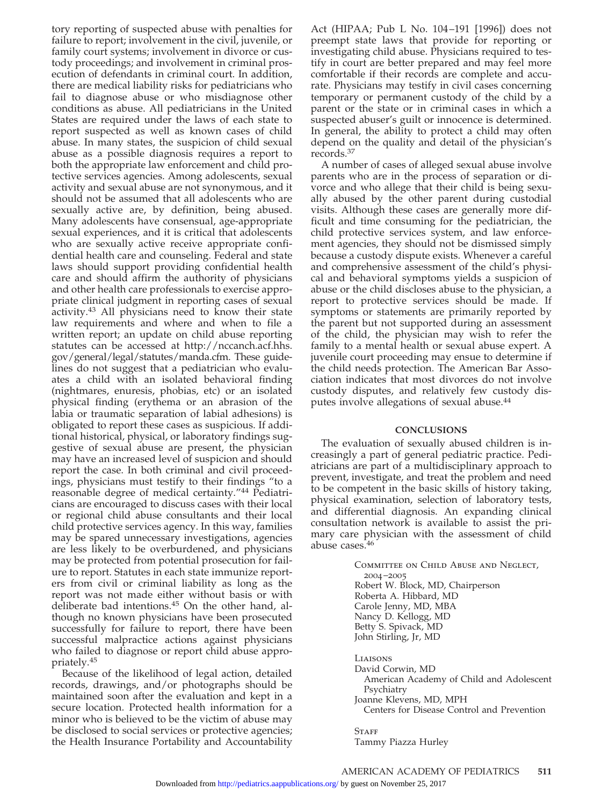tory reporting of suspected abuse with penalties for failure to report; involvement in the civil, juvenile, or family court systems; involvement in divorce or custody proceedings; and involvement in criminal prosecution of defendants in criminal court. In addition, there are medical liability risks for pediatricians who fail to diagnose abuse or who misdiagnose other conditions as abuse. All pediatricians in the United States are required under the laws of each state to report suspected as well as known cases of child abuse. In many states, the suspicion of child sexual abuse as a possible diagnosis requires a report to both the appropriate law enforcement and child protective services agencies. Among adolescents, sexual activity and sexual abuse are not synonymous, and it should not be assumed that all adolescents who are sexually active are, by definition, being abused. Many adolescents have consensual, age-appropriate sexual experiences, and it is critical that adolescents who are sexually active receive appropriate confidential health care and counseling. Federal and state laws should support providing confidential health care and should affirm the authority of physicians and other health care professionals to exercise appropriate clinical judgment in reporting cases of sexual activity.43 All physicians need to know their state law requirements and where and when to file a written report; an update on child abuse reporting statutes can be accessed at http://nccanch.acf.hhs. gov/general/legal/statutes/manda.cfm. These guidelines do not suggest that a pediatrician who evaluates a child with an isolated behavioral finding (nightmares, enuresis, phobias, etc) or an isolated physical finding (erythema or an abrasion of the labia or traumatic separation of labial adhesions) is obligated to report these cases as suspicious. If additional historical, physical, or laboratory findings suggestive of sexual abuse are present, the physician may have an increased level of suspicion and should report the case. In both criminal and civil proceedings, physicians must testify to their findings "to a reasonable degree of medical certainty."44 Pediatricians are encouraged to discuss cases with their local or regional child abuse consultants and their local child protective services agency. In this way, families may be spared unnecessary investigations, agencies are less likely to be overburdened, and physicians may be protected from potential prosecution for failure to report. Statutes in each state immunize reporters from civil or criminal liability as long as the report was not made either without basis or with deliberate bad intentions.45 On the other hand, although no known physicians have been prosecuted successfully for failure to report, there have been successful malpractice actions against physicians who failed to diagnose or report child abuse appropriately.45

Because of the likelihood of legal action, detailed records, drawings, and/or photographs should be maintained soon after the evaluation and kept in a secure location. Protected health information for a minor who is believed to be the victim of abuse may be disclosed to social services or protective agencies; the Health Insurance Portability and Accountability Act (HIPAA; Pub L No. 104 –191 [1996]) does not preempt state laws that provide for reporting or investigating child abuse. Physicians required to testify in court are better prepared and may feel more comfortable if their records are complete and accurate. Physicians may testify in civil cases concerning temporary or permanent custody of the child by a parent or the state or in criminal cases in which a suspected abuser's guilt or innocence is determined. In general, the ability to protect a child may often depend on the quality and detail of the physician's records.37

A number of cases of alleged sexual abuse involve parents who are in the process of separation or divorce and who allege that their child is being sexually abused by the other parent during custodial visits. Although these cases are generally more difficult and time consuming for the pediatrician, the child protective services system, and law enforcement agencies, they should not be dismissed simply because a custody dispute exists. Whenever a careful and comprehensive assessment of the child's physical and behavioral symptoms yields a suspicion of abuse or the child discloses abuse to the physician, a report to protective services should be made. If symptoms or statements are primarily reported by the parent but not supported during an assessment of the child, the physician may wish to refer the family to a mental health or sexual abuse expert. A juvenile court proceeding may ensue to determine if the child needs protection. The American Bar Association indicates that most divorces do not involve custody disputes, and relatively few custody disputes involve allegations of sexual abuse.<sup>44</sup>

#### **CONCLUSIONS**

The evaluation of sexually abused children is increasingly a part of general pediatric practice. Pediatricians are part of a multidisciplinary approach to prevent, investigate, and treat the problem and need to be competent in the basic skills of history taking, physical examination, selection of laboratory tests, and differential diagnosis. An expanding clinical consultation network is available to assist the primary care physician with the assessment of child abuse cases.46

> Committee on Child Abuse and Neglect, 2004 –2005 Robert W. Block, MD, Chairperson Roberta A. Hibbard, MD Carole Jenny, MD, MBA Nancy D. Kellogg, MD Betty S. Spivack, MD John Stirling, Jr, MD **LIAISONS**

David Corwin, MD American Academy of Child and Adolescent Psychiatry Joanne Klevens, MD, MPH Centers for Disease Control and Prevention

**STAFF** Tammy Piazza Hurley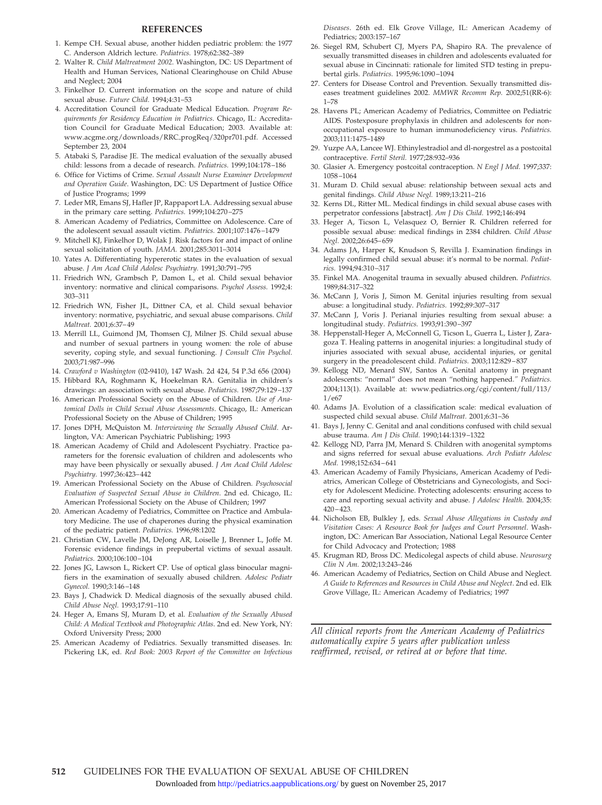#### **REFERENCES**

- 1. Kempe CH. Sexual abuse, another hidden pediatric problem: the 1977 C. Anderson Aldrich lecture. *Pediatrics.* 1978;62:382–389
- 2. Walter R. *Child Maltreatment 2002*. Washington, DC: US Department of Health and Human Services, National Clearinghouse on Child Abuse and Neglect; 2004
- 3. Finkelhor D. Current information on the scope and nature of child sexual abuse. *Future Child.* 1994;4:31–53
- 4. Accreditation Council for Graduate Medical Education. *Program Requirements for Residency Education in Pediatrics*. Chicago, IL: Accreditation Council for Graduate Medical Education; 2003. Available at: www.acgme.org/downloads/RRC\_progReq/320pr701.pdf. Accessed September 23, 2004
- 5. Atabaki S, Paradise JE. The medical evaluation of the sexually abused child: lessons from a decade of research. *Pediatrics.* 1999;104:178 –186
- 6. Office for Victims of Crime. *Sexual Assault Nurse Examiner Development and Operation Guide*. Washington, DC: US Department of Justice Office of Justice Programs; 1999
- 7. Leder MR, Emans SJ, Hafler JP, Rappaport LA. Addressing sexual abuse in the primary care setting. *Pediatrics.* 1999;104:270 –275
- 8. American Academy of Pediatrics, Committee on Adolescence. Care of the adolescent sexual assault victim. *Pediatrics.* 2001;107:1476 –1479
- 9. Mitchell KJ, Finkelhor D, Wolak J. Risk factors for and impact of online sexual solicitation of youth. *JAMA.* 2001;285:3011–3014
- 10. Yates A. Differentiating hypererotic states in the evaluation of sexual abuse. *J Am Acad Child Adolesc Psychiatry.* 1991;30:791–795
- 11. Friedrich WN, Grambsch P, Damon L, et al. Child sexual behavior inventory: normative and clinical comparisons. *Psychol Assess.* 1992;4: 303–311
- 12. Friedrich WN, Fisher JL, Dittner CA, et al. Child sexual behavior inventory: normative, psychiatric, and sexual abuse comparisons. *Child Maltreat.* 2001;6:37– 49
- 13. Merrill LL, Guimond JM, Thomsen CJ, Milner JS. Child sexual abuse and number of sexual partners in young women: the role of abuse severity, coping style, and sexual functioning. *J Consult Clin Psychol.* 2003;71:987–996
- 14. *Crawford v Washington* (02-9410), 147 Wash. 2d 424, 54 P.3d 656 (2004)
- 15. Hibbard RA, Roghmann K, Hoekelman RA. Genitalia in children's drawings: an association with sexual abuse. *Pediatrics.* 1987;79:129 –137
- 16. American Professional Society on the Abuse of Children. *Use of Anatomical Dolls in Child Sexual Abuse Assessments*. Chicago, IL: American Professional Society on the Abuse of Children; 1995
- 17. Jones DPH, McQuiston M. *Interviewing the Sexually Abused Child*. Arlington, VA: American Psychiatric Publishing; 1993
- 18. American Academy of Child and Adolescent Psychiatry. Practice parameters for the forensic evaluation of children and adolescents who may have been physically or sexually abused. *J Am Acad Child Adolesc Psychiatry.* 1997;36:423– 442
- 19. American Professional Society on the Abuse of Children. *Psychosocial Evaluation of Suspected Sexual Abuse in Children*. 2nd ed. Chicago, IL: American Professional Society on the Abuse of Children; 1997
- 20. American Academy of Pediatrics, Committee on Practice and Ambulatory Medicine. The use of chaperones during the physical examination of the pediatric patient. *Pediatrics.* 1996;98:1202
- 21. Christian CW, Lavelle JM, DeJong AR, Loiselle J, Brenner L, Joffe M. Forensic evidence findings in prepubertal victims of sexual assault. *Pediatrics.* 2000;106:100 –104
- 22. Jones JG, Lawson L, Rickert CP. Use of optical glass binocular magnifiers in the examination of sexually abused children. *Adolesc Pediatr Gynecol.* 1990;3:146 –148
- 23. Bays J, Chadwick D. Medical diagnosis of the sexually abused child. *Child Abuse Negl.* 1993;17:91–110
- 24. Heger A, Emans SJ, Muram D, et al. *Evaluation of the Sexually Abused Child: A Medical Textbook and Photographic Atlas*. 2nd ed. New York, NY: Oxford University Press; 2000
- 25. American Academy of Pediatrics. Sexually transmitted diseases. In: Pickering LK, ed. *Red Book: 2003 Report of the Committee on Infectious*

*Diseases*. 26th ed. Elk Grove Village, IL: American Academy of Pediatrics; 2003:157–167

- 26. Siegel RM, Schubert CJ, Myers PA, Shapiro RA. The prevalence of sexually transmitted diseases in children and adolescents evaluated for sexual abuse in Cincinnati: rationale for limited STD testing in prepubertal girls. *Pediatrics.* 1995;96:1090 –1094
- 27. Centers for Disease Control and Prevention. Sexually transmitted diseases treatment guidelines 2002. *MMWR Recomm Rep.* 2002;51(RR-6): 1–78
- 28. Havens PL; American Academy of Pediatrics, Committee on Pediatric AIDS. Postexposure prophylaxis in children and adolescents for nonoccupational exposure to human immunodeficiency virus. *Pediatrics.* 2003;111:1475–1489
- 29. Yuzpe AA, Lancee WJ. Ethinylestradiol and dl-norgestrel as a postcoital contraceptive. *Fertil Steril.* 1977;28:932–936
- 30. Glasier A. Emergency postcoital contraception. *N Engl J Med.* 1997;337: 1058 –1064
- 31. Muram D. Child sexual abuse: relationship between sexual acts and genital findings. *Child Abuse Negl.* 1989;13:211–216
- 32. Kerns DL, Ritter ML. Medical findings in child sexual abuse cases with perpetrator confessions [abstract]. *Am J Dis Child.* 1992;146:494
- 33. Heger A, Ticson L, Velasquez O, Bernier R. Children referred for possible sexual abuse: medical findings in 2384 children. *Child Abuse Negl.* 2002;26:645– 659
- 34. Adams JA, Harper K, Knudson S, Revilla J. Examination findings in legally confirmed child sexual abuse: it's normal to be normal. *Pediatrics.* 1994;94:310 –317
- 35. Finkel MA. Anogenital trauma in sexually abused children. *Pediatrics.* 1989;84:317–322
- 36. McCann J, Voris J, Simon M. Genital injuries resulting from sexual abuse: a longitudinal study. *Pediatrics.* 1992;89:307–317
- 37. McCann J, Voris J. Perianal injuries resulting from sexual abuse: a longitudinal study. *Pediatrics.* 1993;91:390 –397
- 38. Heppenstall-Heger A, McConnell G, Ticson L, Guerra L, Lister J, Zaragoza T. Healing patterns in anogenital injuries: a longitudinal study of injuries associated with sexual abuse, accidental injuries, or genital surgery in the preadolescent child. *Pediatrics.* 2003;112:829 – 837
- 39. Kellogg ND, Menard SW, Santos A. Genital anatomy in pregnant adolescents: "normal" does not mean "nothing happened.*" Pediatrics.* 2004;113(1). Available at: www.pediatrics.org/cgi/content/full/113/ 1/e67
- 40. Adams JA. Evolution of a classification scale: medical evaluation of suspected child sexual abuse. *Child Maltreat.* 2001;6:31–36
- 41. Bays J, Jenny C. Genital and anal conditions confused with child sexual abuse trauma. *Am J Dis Child.* 1990;144:1319 –1322
- 42. Kellogg ND, Parra JM, Menard S. Children with anogenital symptoms and signs referred for sexual abuse evaluations. *Arch Pediatr Adolesc Med.* 1998;152:634 – 641
- 43. American Academy of Family Physicians, American Academy of Pediatrics, American College of Obstetricians and Gynecologists, and Society for Adolescent Medicine. Protecting adolescents: ensuring access to care and reporting sexual activity and abuse. *J Adolesc Health.* 2004;35:  $420 - 423$
- 44. Nicholson EB, Bulkley J, eds. *Sexual Abuse Allegations in Custody and Visitation Cases: A Resource Book for Judges and Court Personnel*. Washington, DC: American Bar Association, National Legal Resource Center for Child Advocacy and Protection; 1988
- 45. Krugman RD, Bross DC. Medicolegal aspects of child abuse. *Neurosurg Clin N Am.* 2002;13:243–246
- 46. American Academy of Pediatrics, Section on Child Abuse and Neglect. *A Guide to References and Resources in Child Abuse and Neglect*. 2nd ed. Elk Grove Village, IL: American Academy of Pediatrics; 1997

*All clinical reports from the American Academy of Pediatrics automatically expire 5 years after publication unless reaffirmed, revised, or retired at or before that time.*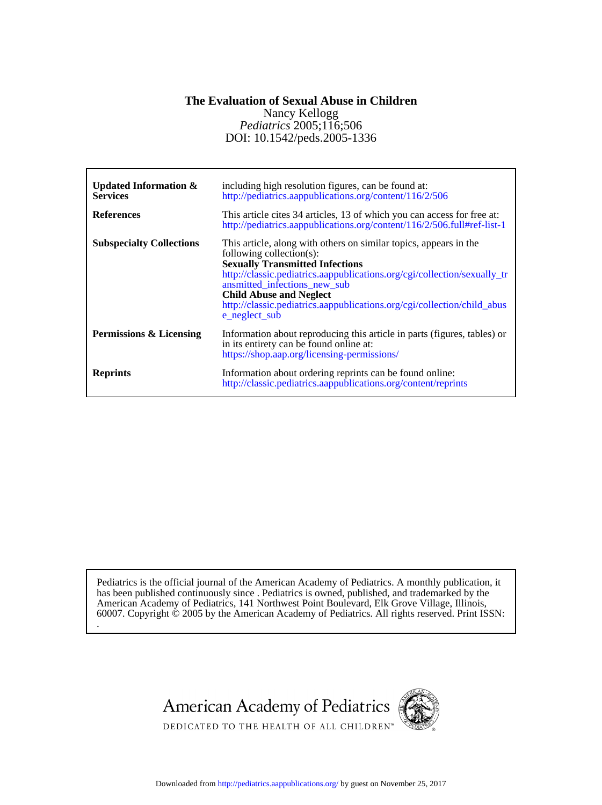## DOI: 10.1542/peds.2005-1336 *Pediatrics* 2005;116;506 Nancy Kellogg **The Evaluation of Sexual Abuse in Children**

| <b>Updated Information &amp;</b><br><b>Services</b> | including high resolution figures, can be found at:<br>http://pediatrics.aappublications.org/content/116/2/506                                                                                                                                                                                                                                                                    |
|-----------------------------------------------------|-----------------------------------------------------------------------------------------------------------------------------------------------------------------------------------------------------------------------------------------------------------------------------------------------------------------------------------------------------------------------------------|
| <b>References</b>                                   | This article cites 34 articles, 13 of which you can access for free at:<br>http://pediatrics.aappublications.org/content/116/2/506.full#ref-list-1                                                                                                                                                                                                                                |
| <b>Subspecialty Collections</b>                     | This article, along with others on similar topics, appears in the<br>following collection(s):<br><b>Sexually Transmitted Infections</b><br>http://classic.pediatrics.aappublications.org/cgi/collection/sexually_tr<br>ansmitted infections new sub<br><b>Child Abuse and Neglect</b><br>http://classic.pediatrics.aappublications.org/cgi/collection/child_abus<br>e neglect sub |
| Permissions & Licensing                             | Information about reproducing this article in parts (figures, tables) or<br>in its entirety can be found online at:<br>https://shop.aap.org/licensing-permissions/                                                                                                                                                                                                                |
| <b>Reprints</b>                                     | Information about ordering reprints can be found online:<br>http://classic.pediatrics.aappublications.org/content/reprints                                                                                                                                                                                                                                                        |

. 60007. Copyright © 2005 by the American Academy of Pediatrics. All rights reserved. Print ISSN: American Academy of Pediatrics, 141 Northwest Point Boulevard, Elk Grove Village, Illinois, has been published continuously since . Pediatrics is owned, published, and trademarked by the Pediatrics is the official journal of the American Academy of Pediatrics. A monthly publication, it